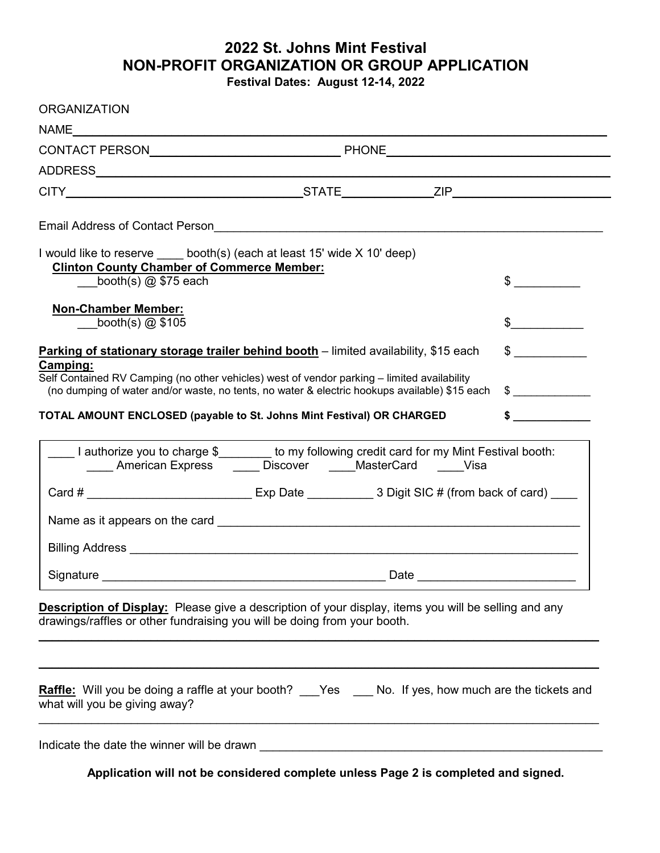## **2022 St. Johns Mint Festival NON-PROFIT ORGANIZATION OR GROUP APPLICATION**

**Festival Dates: August 12-14, 2022**

| <b>ORGANIZATION</b>                                                                                                                                                                                      |               |
|----------------------------------------------------------------------------------------------------------------------------------------------------------------------------------------------------------|---------------|
|                                                                                                                                                                                                          |               |
|                                                                                                                                                                                                          |               |
|                                                                                                                                                                                                          |               |
|                                                                                                                                                                                                          |               |
| Email Address of Contact Person <b>Contact Server Address 1986</b>                                                                                                                                       |               |
| I would like to reserve ______ booth(s) (each at least 15' wide X 10' deep)<br><b>Clinton County Chamber of Commerce Member:</b>                                                                         |               |
| booth(s) $@$ \$75 each                                                                                                                                                                                   | $\sim$        |
| <b>Non-Chamber Member:</b><br>booth(s) $@$ \$105                                                                                                                                                         | $\frac{1}{2}$ |
| Parking of stationary storage trailer behind booth – limited availability, \$15 each                                                                                                                     | $\sim$        |
| Camping:<br>Self Contained RV Camping (no other vehicles) west of vendor parking - limited availability<br>(no dumping of water and/or waste, no tents, no water & electric hookups available) \$15 each | $\frac{1}{2}$ |
| TOTAL AMOUNT ENCLOSED (payable to St. Johns Mint Festival) OR CHARGED                                                                                                                                    | $\sim$        |
| Lauthorize you to charge \$________ to my following credit card for my Mint Festival booth:<br>_____ American Express _____ Discover _____ MasterCard _____Visa                                          |               |
|                                                                                                                                                                                                          |               |
|                                                                                                                                                                                                          |               |
|                                                                                                                                                                                                          |               |
| <b>Description of Display:</b> Please give a description of your display, items you will be selling and any<br>drawings/raffles or other fundraising you will be doing from your booth.                  |               |
| <b>Raffle:</b> Will you be doing a raffle at your booth? ___Yes ____ No. If yes, how much are the tickets and<br>what will you be giving away?                                                           |               |
|                                                                                                                                                                                                          |               |
| Application will not be considered complete unless Page 2 is completed and signed.                                                                                                                       |               |